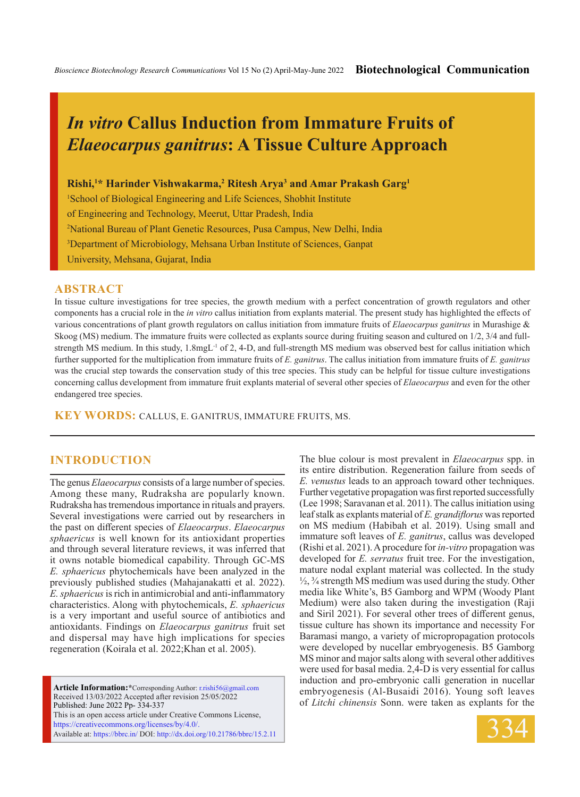# *In vitro* **Callus Induction from Immature Fruits of**  *Elaeocarpus ganitrus***: A Tissue Culture Approach**

### **Rishi,1 \* Harinder Vishwakarma,2 Ritesh Arya3 and Amar Prakash Garg1**

<sup>1</sup>School of Biological Engineering and Life Sciences, Shobhit Institute of Engineering and Technology, Meerut, Uttar Pradesh, India 2 National Bureau of Plant Genetic Resources, Pusa Campus, New Delhi, India 3 Department of Microbiology, Mehsana Urban Institute of Sciences, Ganpat University, Mehsana, Gujarat, India

### **ABSTRACT**

In tissue culture investigations for tree species, the growth medium with a perfect concentration of growth regulators and other components has a crucial role in the *in vitro* callus initiation from explants material. The present study has highlighted the effects of various concentrations of plant growth regulators on callus initiation from immature fruits of *Elaeocarpus ganitrus* in Murashige & Skoog (MS) medium. The immature fruits were collected as explants source during fruiting season and cultured on 1/2, 3/4 and fullstrength MS medium. In this study, 1.8mgL<sup>-1</sup> of 2, 4-D, and full-strength MS medium was observed best for callus initiation which further supported for the multiplication from immature fruits of *E. ganitrus*. The callus initiation from immature fruits of *E. ganitrus*  was the crucial step towards the conservation study of this tree species. This study can be helpful for tissue culture investigations concerning callus development from immature fruit explants material of several other species of *Elaeocarpus* and even for the other endangered tree species.

**KEY WORDS:** CALLUS, E. GANITRUS, IMMATURE FRUITS, MS.

### **INTRODUCTION**

The genus *Elaeocarpus* consists of a large number of species. Among these many, Rudraksha are popularly known. Rudraksha has tremendous importance in rituals and prayers. Several investigations were carried out by researchers in the past on different species of *Elaeocarpus*. *Elaeocarpus sphaericus* is well known for its antioxidant properties and through several literature reviews, it was inferred that it owns notable biomedical capability. Through GC-MS *E. sphaericus* phytochemicals have been analyzed in the previously published studies (Mahajanakatti et al. 2022). *E. sphaericus* is rich in antimicrobial and anti-inflammatory characteristics. Along with phytochemicals, *E. sphaericus*  is a very important and useful source of antibiotics and antioxidants. Findings on *Elaeocarpus ganitrus* fruit set and dispersal may have high implications for species regeneration (Koirala et al. 2022;Khan et al. 2005).

**Article Information:\***Corresponding Author: r.rishi56@gmail.com Received 13/03/2022 Accepted after revision 25/05/2022 Published: June 2022 Pp- 334-337 This is an open access article under Creative Commons License, https://creativecommons.org/licenses/by/4.0/. Available at: https://bbrc.in/ DOI: http://dx.doi.org/10.21786/bbrc/15.2.11 The blue colour is most prevalent in *Elaeocarpus* spp. in its entire distribution. Regeneration failure from seeds of *E. venustus* leads to an approach toward other techniques. Further vegetative propagation was first reported successfully (Lee 1998; Saravanan et al. 2011). The callus initiation using leaf stalk as explants material of *E. grandiflorus* was reported on MS medium (Habibah et al. 2019). Using small and immature soft leaves of *E. ganitrus*, callus was developed (Rishi et al. 2021). A procedure for *in-vitro* propagation was developed for *E. serratus* fruit tree. For the investigation, mature nodal explant material was collected. In the study  $\frac{1}{2}$ ,  $\frac{3}{4}$  strength MS medium was used during the study. Other media like White's, B5 Gamborg and WPM (Woody Plant Medium) were also taken during the investigation (Raji and Siril 2021). For several other trees of different genus, tissue culture has shown its importance and necessity For Baramasi mango, a variety of micropropagation protocols were developed by nucellar embryogenesis. B5 Gamborg MS minor and major salts along with several other additives were used for basal media. 2,4-D is very essential for callus induction and pro-embryonic calli generation in nucellar embryogenesis (Al-Busaidi 2016). Young soft leaves of *Litchi chinensis* Sonn. were taken as explants for the

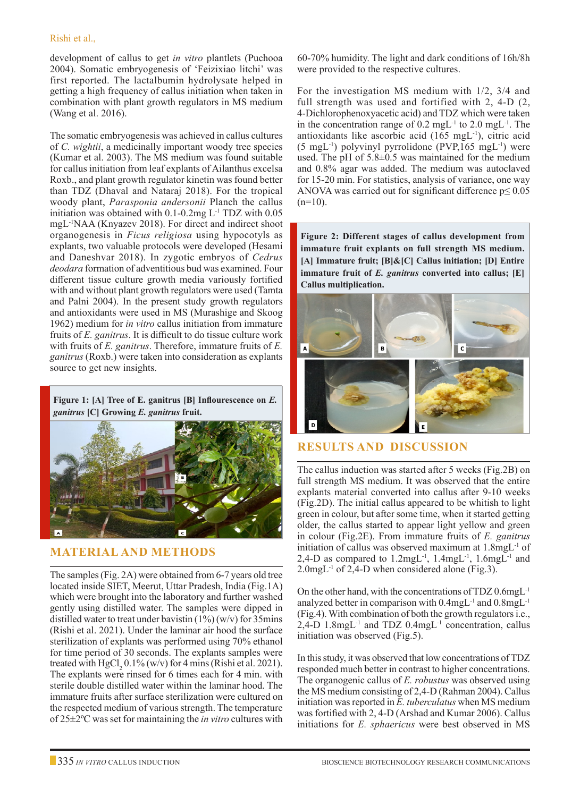development of callus to get *in vitro* plantlets (Puchooa 2004). Somatic embryogenesis of 'Feizixiao litchi' was first reported. The lactalbumin hydrolysate helped in getting a high frequency of callus initiation when taken in combination with plant growth regulators in MS medium (Wang et al. 2016).

The somatic embryogenesis was achieved in callus cultures of *C. wightii*, a medicinally important woody tree species (Kumar et al. 2003). The MS medium was found suitable for callus initiation from leaf explants of Ailanthus excelsa Roxb., and plant growth regulator kinetin was found better than TDZ (Dhaval and Nataraj 2018). For the tropical woody plant, *Parasponia andersonii* Planch the callus initiation was obtained with  $0.1$ - $0.2$ mg L<sup>-1</sup> TDZ with  $0.05$ mgL-1NAA (Knyazev 2018). For direct and indirect shoot organogenesis in *Ficus religiosa* using hypocotyls as explants, two valuable protocols were developed (Hesami and Daneshvar 2018). In zygotic embryos of *Cedrus deodara* formation of adventitious bud was examined. Four different tissue culture growth media variously fortified with and without plant growth regulators were used (Tamta and Palni 2004). In the present study growth regulators and antioxidants were used in MS (Murashige and Skoog 1962) medium for *in vitro* callus initiation from immature fruits of *E. ganitrus*. It is difficult to do tissue culture work with fruits of *E. ganitrus*. Therefore, immature fruits of *E. ganitrus* (Roxb.) were taken into consideration as explants source to get new insights.

**Figure 1: [A] Tree of E. ganitrus [B] Inflourescence on** *E. ganitrus* **[C] Growing** *E. ganitrus* **fruit.**



## **Material and Methods**

The samples (Fig. 2A) were obtained from 6-7 years old tree located inside SIET, Meerut, Uttar Pradesh, India (Fig.1A) which were brought into the laboratory and further washed gently using distilled water. The samples were dipped in distilled water to treat under bavistin  $(1\%)$  (w/v) for 35mins (Rishi et al. 2021). Under the laminar air hood the surface sterilization of explants was performed using 70% ethanol for time period of 30 seconds. The explants samples were treated with  $HgCl_2 0.1\%$  (w/v) for 4 mins (Rishi et al. 2021). The explants were rinsed for 6 times each for 4 min. with sterile double distilled water within the laminar hood. The immature fruits after surface sterilization were cultured on the respected medium of various strength. The temperature of 25±2ºC was set for maintaining the *in vitro* cultures with

60-70% humidity. The light and dark conditions of 16h/8h were provided to the respective cultures.

For the investigation MS medium with 1/2, 3/4 and full strength was used and fortified with 2, 4-D (2, 4-Dichlorophenoxyacetic acid) and TDZ which were taken in the concentration range of  $0.2 \text{ mgL}^{-1}$  to  $2.0 \text{ mgL}^{-1}$ . The antioxidants like ascorbic acid (165 mgL-1), citric acid  $(5 \text{ mgL}^{-1})$  polyvinyl pyrrolidone (PVP,165 mgL $^{-1}$ ) were used. The pH of  $5.8\pm0.5$  was maintained for the medium and 0.8% agar was added. The medium was autoclaved for 15-20 min. For statistics, analysis of variance, one way ANOVA was carried out for significant difference  $p \le 0.05$  $(n=10)$ .

**Figure 2: Different stages of callus development from immature fruit explants on full strength MS medium. [A] Immature fruit; [B]&[C] Callus initiation; [D] Entire immature fruit of** *E. ganitrus* **converted into callus; [E] Callus multiplication.**



# **Results and Discussion**

The callus induction was started after 5 weeks (Fig.2B) on full strength MS medium. It was observed that the entire explants material converted into callus after 9-10 weeks (Fig.2D). The initial callus appeared to be whitish to light green in colour, but after some time, when it started getting older, the callus started to appear light yellow and green in colour (Fig.2E). From immature fruits of *E. ganitrus*  initiation of callus was observed maximum at 1.8mgL-1 of 2,4-D as compared to 1.2mgL-1, 1.4mgL-1, 1.6mgL-1 and 2.0mgL-1 of 2,4-D when considered alone (Fig.3).

On the other hand, with the concentrations of TDZ 0.6mgL-1 analyzed better in comparison with 0.4mgL-1 and 0.8mgL-1 (Fig.4). With combination of both the growth regulators i.e.,  $2,4$ -D  $1.8$ mgL<sup>-1</sup> and TDZ  $0.4$ mgL<sup>-1</sup> concentration, callus initiation was observed (Fig.5).

In this study, it was observed that low concentrations of TDZ responded much better in contrast to higher concentrations. The organogenic callus of *E. robustus* was observed using the MS medium consisting of 2,4-D (Rahman 2004). Callus initiation was reported in *E. tuberculatus* when MS medium was fortified with 2, 4-D (Arshad and Kumar 2006). Callus initiations for *E. sphaericus* were best observed in MS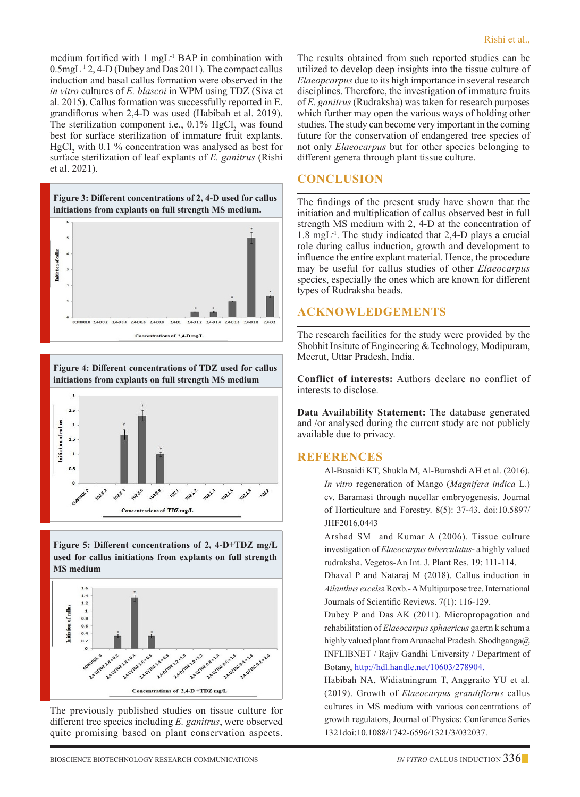medium fortified with 1 mgL-1 BAP in combination with 0.5mgL-1 2, 4-D (Dubey and Das 2011). The compact callus induction and basal callus formation were observed in the *in vitro* cultures of *E. blascoi* in WPM using TDZ (Siva et al. 2015). Callus formation was successfully reported in E. grandiflorus when 2,4-D was used (Habibah et al. 2019). The sterilization component i.e.,  $0.1\%$  HgCl<sub>2</sub> was found best for surface sterilization of immature fruit explants.  $HgCl<sub>2</sub>$  with 0.1 % concentration was analysed as best for surface sterilization of leaf explants of *E. ganitrus* (Rishi et al. 2021).



**Figure 4: Different concentrations of TDZ used for callus initiations from explants on full strength MS medium**



**Figure 5: Different concentrations of 2, 4-D+TDZ mg/L used for callus initiations from explants on full strength MS medium**



The previously published studies on tissue culture for different tree species including *E. ganitrus*, were observed quite promising based on plant conservation aspects. The results obtained from such reported studies can be utilized to develop deep insights into the tissue culture of *Elaeopcarpus* due to its high importance in several research disciplines. Therefore, the investigation of immature fruits of *E. ganitrus* (Rudraksha) was taken for research purposes which further may open the various ways of holding other studies. The study can become very important in the coming future for the conservation of endangered tree species of not only *Elaeocarpus* but for other species belonging to different genera through plant tissue culture.

### **Conclusion**

The findings of the present study have shown that the initiation and multiplication of callus observed best in full strength MS medium with 2, 4-D at the concentration of 1.8 mgL-1. The study indicated that 2,4-D plays a crucial role during callus induction, growth and development to influence the entire explant material. Hence, the procedure may be useful for callus studies of other *Elaeocarpus*  species, especially the ones which are known for different types of Rudraksha beads.

### **Acknowledgements**

The research facilities for the study were provided by the Shobhit Insitute of Engineering & Technology, Modipuram, Meerut, Uttar Pradesh, India.

**Conflict of interests:** Authors declare no conflict of interests to disclose.

**Data Availability Statement:** The database generated and /or analysed during the current study are not publicly available due to privacy.

### **References**

Al-Busaidi KT, Shukla M, Al-Burashdi AH et al. (2016). *In vitro* regeneration of Mango (*Magnifera indica* L.) cv. Baramasi through nucellar embryogenesis. Journal of Horticulture and Forestry. 8(5): 37-43. doi:10.5897/ JHF2016.0443

Arshad SM and Kumar A (2006). Tissue culture investigation of *Elaeocarpus tuberculatus*- a highly valued rudraksha. Vegetos-An Int. J. Plant Res. 19: 111-114.

Dhaval P and Nataraj M (2018). Callus induction in *Ailanthus excels*a Roxb.- A Multipurpose tree. International Journals of Scientific Reviews. 7(1): 116-129.

Dubey P and Das AK (2011). Micropropagation and rehabilitation of *Elaeocarpus sphaericus* gaertn k schum a highly valued plant from Arunachal Pradesh. Shodhganga@ INFLIBNET / Rajiv Gandhi University / Department of Botany, http://hdl.handle.net/10603/278904.

Habibah NA, Widiatningrum T, Anggraito YU et al. (2019). Growth of *Elaeocarpus grandiflorus* callus cultures in MS medium with various concentrations of growth regulators, Journal of Physics: Conference Series 1321doi:10.1088/1742-6596/1321/3/032037.